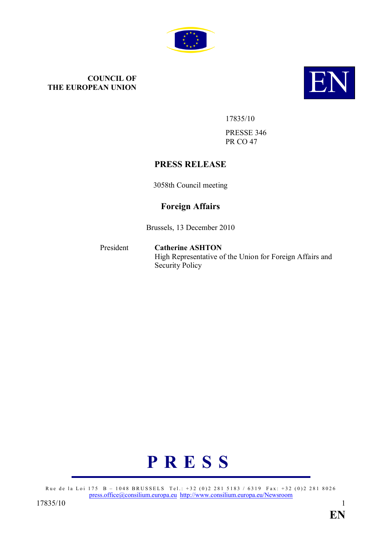

# **COUNCIL OF<br>THE EUROPEAN UNION THE EUROPEAN UNION**



17835/10

PRESSE 346 PR CO 47

# **PRESS RELEASE**

3058th Council meeting

# **Foreign Affairs**

Brussels, 13 December 2010

President **Catherine ASHTON** High Representative of the Union for Foreign Affairs and Security Policy



Rue de la Loi 175 B – 1048 BRUSSELS Tel.: +32 (0)2 281 5183 / 6319 Fax: +32 (0)2 281 8026 press.office@consilium.europa.eu http://www.consilium.europa.eu/Newsroom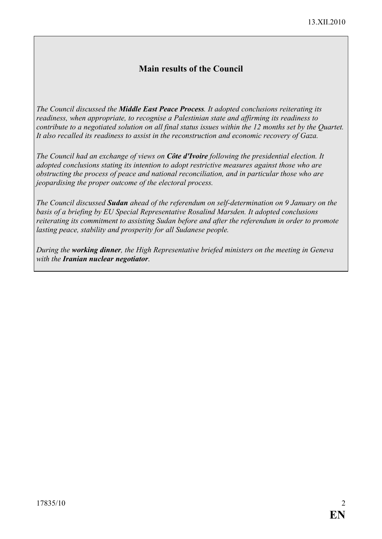# **Main results of the Council**

*The Council discussed the Middle East Peace Process. It adopted conclusions reiterating its readiness, when appropriate, to recognise a Palestinian state and affirming its readiness to contribute to a negotiated solution on all final status issues within the 12 months set by the Quartet. It also recalled its readiness to assist in the reconstruction and economic recovery of Gaza.*

*The Council had an exchange of views on Côte d'Ivoire following the presidential election. It adopted conclusions stating its intention to adopt restrictive measures against those who are obstructing the process of peace and national reconciliation, and in particular those who are jeopardising the proper outcome of the electoral process.*

*The Council discussed Sudan ahead of the referendum on self-determination on 9 January on the basis of a briefing by EU Special Representative Rosalind Marsden. It adopted conclusions reiterating its commitment to assisting Sudan before and after the referendum in order to promote lasting peace, stability and prosperity for all Sudanese people.*

*During the working dinner, the High Representative briefed ministers on the meeting in Geneva with the Iranian nuclear negotiator*.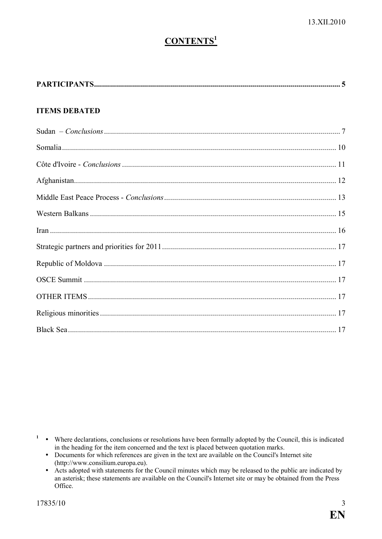# **CONTENTS<sup>1</sup>**

| <b>ITEMS DEBATED</b> |  |
|----------------------|--|
|                      |  |
|                      |  |
|                      |  |
|                      |  |
|                      |  |
|                      |  |
|                      |  |
|                      |  |
|                      |  |
|                      |  |
|                      |  |
|                      |  |
|                      |  |

<sup>1</sup> • Where declarations, conclusions or resolutions have been formally adopted by the Council, this is indicated in the heading for the item concerned and the text is placed between quotation marks.

- Documents for which references are given in the text are available on the Council's Internet site (http://www.consilium.europa.eu).
- Acts adopted with statements for the Council minutes which may be released to the public are indicated by an asterisk; these statements are available on the Council's Internet site or may be obtained from the Press Office.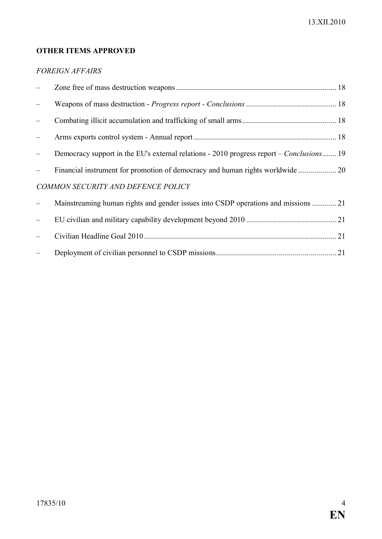# **OTHER ITEMS APPROVED**

# *FOREIGN AFFAIRS*

|                                    | Democracy support in the EU's external relations - 2010 progress report – Conclusions 19 |  |
|------------------------------------|------------------------------------------------------------------------------------------|--|
|                                    |                                                                                          |  |
| COMMON SECURITY AND DEFENCE POLICY |                                                                                          |  |
|                                    | Mainstreaming human rights and gender issues into CSDP operations and missions  21       |  |
|                                    |                                                                                          |  |
|                                    |                                                                                          |  |
|                                    |                                                                                          |  |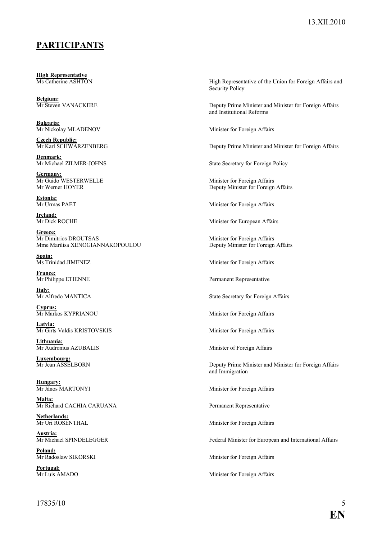# **PARTICIPANTS**

**High Representative**<br>Ms Catherine ASHTON

**Belgium:**

**Bulgaria:**

**Czech Republic:**

**Denmark:**<br>Mr Michael ZILMER-JOHNS

**Germany:**<br>Mr Guido WESTERWELLE

**Estonia:**<br>Mr Urmas PAET

**Ireland:**<br>Mr Dick ROCHE

Greece:<br>Mr Dimitrios DROUTSAS Mme Marilisa XENOGIANNAKOPOULOU Deputy Minister for Foreign Affairs

Spain:<br>Ms Trinidad JIMENEZ

**France:**<br>Mr Philippe ETIENNE

**<u>Italy:</u>**<br>Mr Alfredo MANTICA

**Cyprus:**<br>Mr Markos KYPRIANOU

Latvia: Mr Girts Valdis KRISTOVSKIS Minister for Foreign Affairs

**Lithuania:**

**Luxembourg:**

**Hungary:**<br>Mr János MARTONYI

**Malta:** Mr Richard CACHIA CARUANA Permanent Representative

**Netherlands:**

**Austria:**<br>Mr Michael SPINDELEGGER

**Poland:**<br>Mr Radoslaw SIKORSKI

**Portugal:**<br>Mr Luis AMADO

High Representative of the Union for Foreign Affairs and Security Policy

Mr Steven VANACKERE Deputy Prime Minister and Minister for Foreign Affairs and Institutional Reforms

Minister for Foreign Affairs

Deputy Prime Minister and Minister for Foreign Affairs

State Secretary for Foreign Policy

Mr Guido WESTERWELLE Minister for Foreign Affairs Deputy Minister for Foreign Affairs

Minister for Foreign Affairs

Minister for European Affairs

Minister for Foreign Affairs

Minister for Foreign Affairs

Permanent Representative

State Secretary for Foreign Affairs

Minister for Foreign Affairs

Minister of Foreign Affairs

Deputy Prime Minister and Minister for Foreign Affairs and Immigration

Minister for Foreign Affairs

Minister for Foreign Affairs

Federal Minister for European and International Affairs

Minister for Foreign Affairs

Minister for Foreign Affairs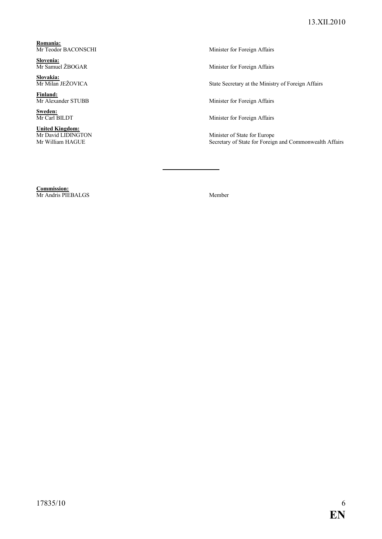**Romania:**<br>Mr Teodor BACONSCHI

**Slovenia:**<br>Mr Samuel ŽBOGAR

**Slovakia:**

**Finland:**<br>Mr Alexander STUBB

**Sweden:**<br>Mr Carl BILDT

**United Kingdom:**

Minister for Foreign Affairs

Minister for Foreign Affairs

State Secretary at the Ministry of Foreign Affairs

Minister for Foreign Affairs

Minister for Foreign Affairs

Minister of State for Europe Secretary of State for Foreign and Commonwealth Affairs

**Commission:** Mr Andris PIEBALGS Member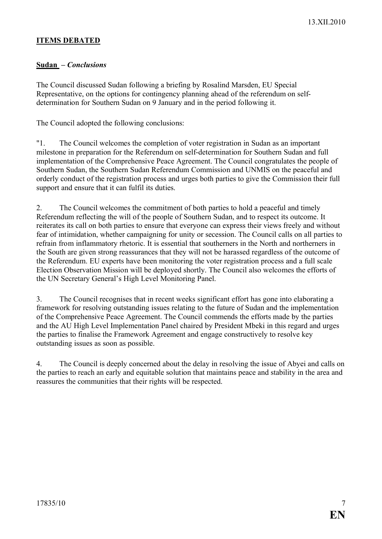## **ITEMS DEBATED**

## **Sudan –** *Conclusions*

The Council discussed Sudan following a briefing by Rosalind Marsden, EU Special Representative, on the options for contingency planning ahead of the referendum on selfdetermination for Southern Sudan on 9 January and in the period following it.

The Council adopted the following conclusions:

"1. The Council welcomes the completion of voter registration in Sudan as an important milestone in preparation for the Referendum on self-determination for Southern Sudan and full implementation of the Comprehensive Peace Agreement. The Council congratulates the people of Southern Sudan, the Southern Sudan Referendum Commission and UNMIS on the peaceful and orderly conduct of the registration process and urges both parties to give the Commission their full support and ensure that it can fulfil its duties.

2. The Council welcomes the commitment of both parties to hold a peaceful and timely Referendum reflecting the will of the people of Southern Sudan, and to respect its outcome. It reiterates its call on both parties to ensure that everyone can express their views freely and without fear of intimidation, whether campaigning for unity or secession. The Council calls on all parties to refrain from inflammatory rhetoric. It is essential that southerners in the North and northerners in the South are given strong reassurances that they will not be harassed regardless of the outcome of the Referendum. EU experts have been monitoring the voter registration process and a full scale Election Observation Mission will be deployed shortly. The Council also welcomes the efforts of the UN Secretary General's High Level Monitoring Panel.

3. The Council recognises that in recent weeks significant effort has gone into elaborating a framework for resolving outstanding issues relating to the future of Sudan and the implementation of the Comprehensive Peace Agreement. The Council commends the efforts made by the parties and the AU High Level Implementation Panel chaired by President Mbeki in this regard and urges the parties to finalise the Framework Agreement and engage constructively to resolve key outstanding issues as soon as possible.

4. The Council is deeply concerned about the delay in resolving the issue of Abyei and calls on the parties to reach an early and equitable solution that maintains peace and stability in the area and reassures the communities that their rights will be respected.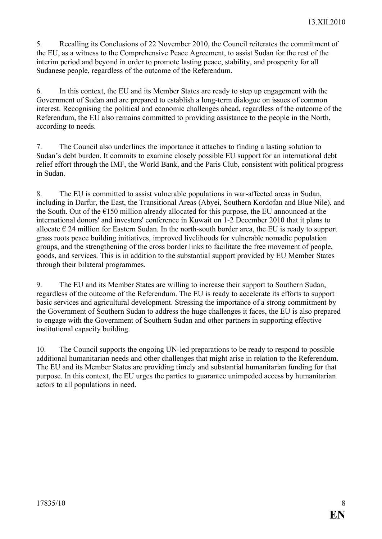5. Recalling its Conclusions of 22 November 2010, the Council reiterates the commitment of the EU, as a witness to the Comprehensive Peace Agreement, to assist Sudan for the rest of the interim period and beyond in order to promote lasting peace, stability, and prosperity for all Sudanese people, regardless of the outcome of the Referendum.

6. In this context, the EU and its Member States are ready to step up engagement with the Government of Sudan and are prepared to establish a long-term dialogue on issues of common interest. Recognising the political and economic challenges ahead, regardless of the outcome of the Referendum, the EU also remains committed to providing assistance to the people in the North, according to needs.

7. The Council also underlines the importance it attaches to finding a lasting solution to Sudan's debt burden. It commits to examine closely possible EU support for an international debt relief effort through the IMF, the World Bank, and the Paris Club, consistent with political progress in Sudan.

8. The EU is committed to assist vulnerable populations in war-affected areas in Sudan, including in Darfur, the East, the Transitional Areas (Abyei, Southern Kordofan and Blue Nile), and the South. Out of the  $E150$  million already allocated for this purpose, the EU announced at the international donors' and investors' conference in Kuwait on 1-2 December 2010 that it plans to allocate  $\epsilon$  24 million for Eastern Sudan. In the north-south border area, the EU is ready to support grass roots peace building initiatives, improved livelihoods for vulnerable nomadic population groups, and the strengthening of the cross border links to facilitate the free movement of people, goods, and services. This is in addition to the substantial support provided by EU Member States through their bilateral programmes.

9. The EU and its Member States are willing to increase their support to Southern Sudan, regardless of the outcome of the Referendum. The EU is ready to accelerate its efforts to support basic services and agricultural development. Stressing the importance of a strong commitment by the Government of Southern Sudan to address the huge challenges it faces, the EU is also prepared to engage with the Government of Southern Sudan and other partners in supporting effective institutional capacity building.

10. The Council supports the ongoing UN-led preparations to be ready to respond to possible additional humanitarian needs and other challenges that might arise in relation to the Referendum. The EU and its Member States are providing timely and substantial humanitarian funding for that purpose. In this context, the EU urges the parties to guarantee unimpeded access by humanitarian actors to all populations in need.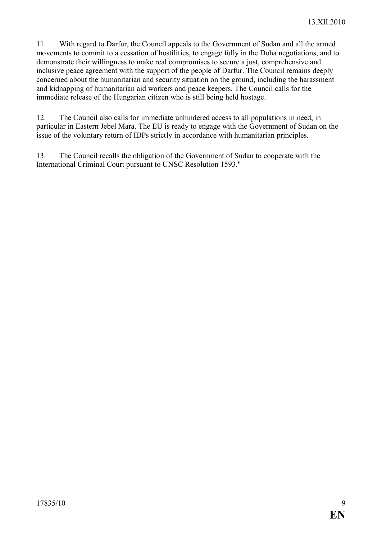11. With regard to Darfur, the Council appeals to the Government of Sudan and all the armed movements to commit to a cessation of hostilities, to engage fully in the Doha negotiations, and to demonstrate their willingness to make real compromises to secure a just, comprehensive and inclusive peace agreement with the support of the people of Darfur. The Council remains deeply concerned about the humanitarian and security situation on the ground, including the harassment and kidnapping of humanitarian aid workers and peace keepers. The Council calls for the immediate release of the Hungarian citizen who is still being held hostage.

12. The Council also calls for immediate unhindered access to all populations in need, in particular in Eastern Jebel Mara. The EU is ready to engage with the Government of Sudan on the issue of the voluntary return of IDPs strictly in accordance with humanitarian principles.

13. The Council recalls the obligation of the Government of Sudan to cooperate with the International Criminal Court pursuant to UNSC Resolution 1593."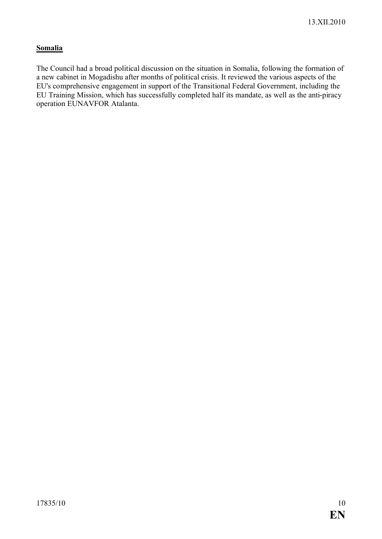# **Somalia**

The Council had a broad political discussion on the situation in Somalia, following the formation of a new cabinet in Mogadishu after months of political crisis. It reviewed the various aspects of the EU's comprehensive engagement in support of the Transitional Federal Government, including the EU Training Mission, which has successfully completed half its mandate, as well as the anti-piracy operation EUNAVFOR Atalanta.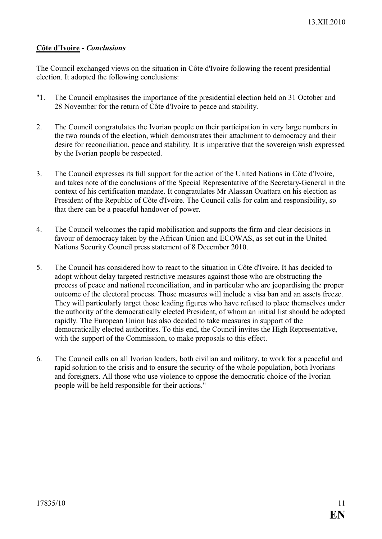# **Côte d'Ivoire -** *Conclusions*

The Council exchanged views on the situation in Côte d'Ivoire following the recent presidential election. It adopted the following conclusions:

- "1. The Council emphasises the importance of the presidential election held on 31 October and 28 November for the return of Côte d'Ivoire to peace and stability.
- 2. The Council congratulates the Ivorian people on their participation in very large numbers in the two rounds of the election, which demonstrates their attachment to democracy and their desire for reconciliation, peace and stability. It is imperative that the sovereign wish expressed by the Ivorian people be respected.
- 3. The Council expresses its full support for the action of the United Nations in Côte d'Ivoire, and takes note of the conclusions of the Special Representative of the Secretary-General in the context of his certification mandate. It congratulates Mr Alassan Ouattara on his election as President of the Republic of Côte d'Ivoire. The Council calls for calm and responsibility, so that there can be a peaceful handover of power.
- 4. The Council welcomes the rapid mobilisation and supports the firm and clear decisions in favour of democracy taken by the African Union and ECOWAS, as set out in the United Nations Security Council press statement of 8 December 2010.
- 5. The Council has considered how to react to the situation in Côte d'Ivoire. It has decided to adopt without delay targeted restrictive measures against those who are obstructing the process of peace and national reconciliation, and in particular who are jeopardising the proper outcome of the electoral process. Those measures will include a visa ban and an assets freeze. They will particularly target those leading figures who have refused to place themselves under the authority of the democratically elected President, of whom an initial list should be adopted rapidly. The European Union has also decided to take measures in support of the democratically elected authorities. To this end, the Council invites the High Representative, with the support of the Commission, to make proposals to this effect.
- 6. The Council calls on all Ivorian leaders, both civilian and military, to work for a peaceful and rapid solution to the crisis and to ensure the security of the whole population, both Ivorians and foreigners. All those who use violence to oppose the democratic choice of the Ivorian people will be held responsible for their actions."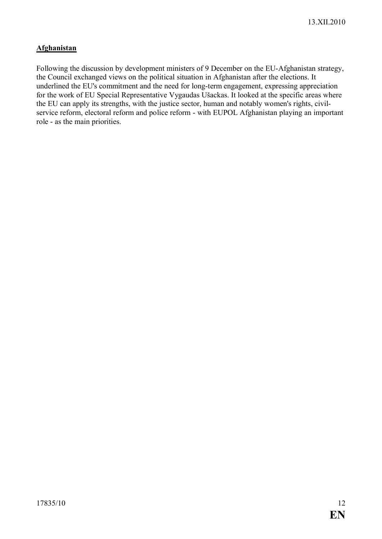# **Afghanistan**

Following the discussion by development ministers of 9 December on the EU-Afghanistan strategy, the Council exchanged views on the political situation in Afghanistan after the elections. It underlined the EU's commitment and the need for long-term engagement, expressing appreciation for the work of EU Special Representative Vygaudas Ušackas. It looked at the specific areas where the EU can apply its strengths, with the justice sector, human and notably women's rights, civilservice reform, electoral reform and police reform - with EUPOL Afghanistan playing an important role - as the main priorities.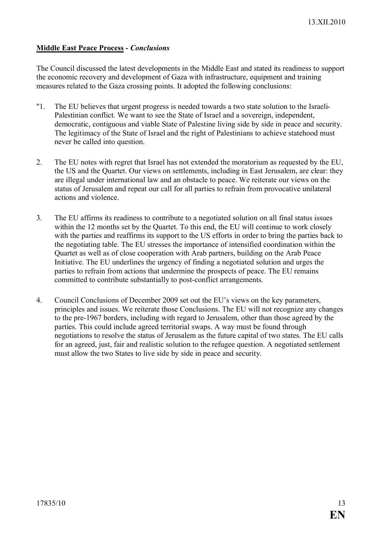# **Middle East Peace Process -** *Conclusions*

The Council discussed the latest developments in the Middle East and stated its readiness to support the economic recovery and development of Gaza with infrastructure, equipment and training measures related to the Gaza crossing points. It adopted the following conclusions:

- "1. The EU believes that urgent progress is needed towards a two state solution to the Israeli-Palestinian conflict. We want to see the State of Israel and a sovereign, independent, democratic, contiguous and viable State of Palestine living side by side in peace and security. The legitimacy of the State of Israel and the right of Palestinians to achieve statehood must never be called into question.
- 2. The EU notes with regret that Israel has not extended the moratorium as requested by the EU, the US and the Quartet. Our views on settlements, including in East Jerusalem, are clear: they are illegal under international law and an obstacle to peace. We reiterate our views on the status of Jerusalem and repeat our call for all parties to refrain from provocative unilateral actions and violence.
- 3. The EU affirms its readiness to contribute to a negotiated solution on all final status issues within the 12 months set by the Quartet. To this end, the EU will continue to work closely with the parties and reaffirms its support to the US efforts in order to bring the parties back to the negotiating table. The EU stresses the importance of intensified coordination within the Quartet as well as of close cooperation with Arab partners, building on the Arab Peace Initiative. The EU underlines the urgency of finding a negotiated solution and urges the parties to refrain from actions that undermine the prospects of peace. The EU remains committed to contribute substantially to post-conflict arrangements.
- 4. Council Conclusions of December 2009 set out the EU's views on the key parameters, principles and issues. We reiterate those Conclusions. The EU will not recognize any changes to the pre-1967 borders, including with regard to Jerusalem, other than those agreed by the parties. This could include agreed territorial swaps. A way must be found through negotiations to resolve the status of Jerusalem as the future capital of two states. The EU calls for an agreed, just, fair and realistic solution to the refugee question. A negotiated settlement must allow the two States to live side by side in peace and security.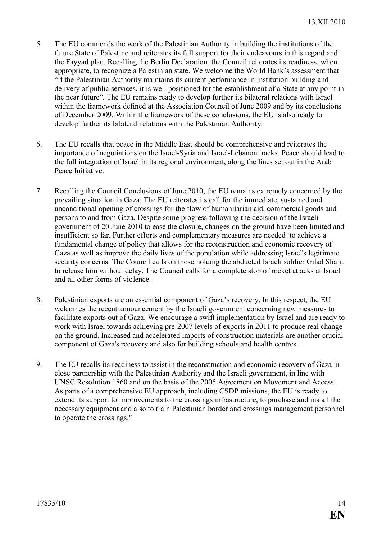- 5. The EU commends the work of the Palestinian Authority in building the institutions of the future State of Palestine and reiterates its full support for their endeavours in this regard and the Fayyad plan. Recalling the Berlin Declaration, the Council reiterates its readiness, when appropriate, to recognize a Palestinian state. We welcome the World Bank's assessment that "if the Palestinian Authority maintains its current performance in institution building and delivery of public services, it is well positioned for the establishment of a State at any point in the near future". The EU remains ready to develop further its bilateral relations with Israel within the framework defined at the Association Council of June 2009 and by its conclusions of December 2009. Within the framework of these conclusions, the EU is also ready to develop further its bilateral relations with the Palestinian Authority.
- 6. The EU recalls that peace in the Middle East should be comprehensive and reiterates the importance of negotiations on the Israel-Syria and Israel-Lebanon tracks. Peace should lead to the full integration of Israel in its regional environment, along the lines set out in the Arab Peace Initiative.
- 7. Recalling the Council Conclusions of June 2010, the EU remains extremely concerned by the prevailing situation in Gaza. The EU reiterates its call for the immediate, sustained and unconditional opening of crossings for the flow of humanitarian aid, commercial goods and persons to and from Gaza. Despite some progress following the decision of the Israeli government of 20 June 2010 to ease the closure, changes on the ground have been limited and insufficient so far. Further efforts and complementary measures are needed to achieve a fundamental change of policy that allows for the reconstruction and economic recovery of Gaza as well as improve the daily lives of the population while addressing Israel's legitimate security concerns. The Council calls on those holding the abducted Israeli soldier Gilad Shalit to release him without delay. The Council calls for a complete stop of rocket attacks at Israel and all other forms of violence.
- 8. Palestinian exports are an essential component of Gaza's recovery. In this respect, the EU welcomes the recent announcement by the Israeli government concerning new measures to facilitate exports out of Gaza. We encourage a swift implementation by Israel and are ready to work with Israel towards achieving pre-2007 levels of exports in 2011 to produce real change on the ground. Increased and accelerated imports of construction materials are another crucial component of Gaza's recovery and also for building schools and health centres.
- 9. The EU recalls its readiness to assist in the reconstruction and economic recovery of Gaza in close partnership with the Palestinian Authority and the Israeli government, in line with UNSC Resolution 1860 and on the basis of the 2005 Agreement on Movement and Access. As parts of a comprehensive EU approach, including CSDP missions, the EU is ready to extend its support to improvements to the crossings infrastructure, to purchase and install the necessary equipment and also to train Palestinian border and crossings management personnel to operate the crossings."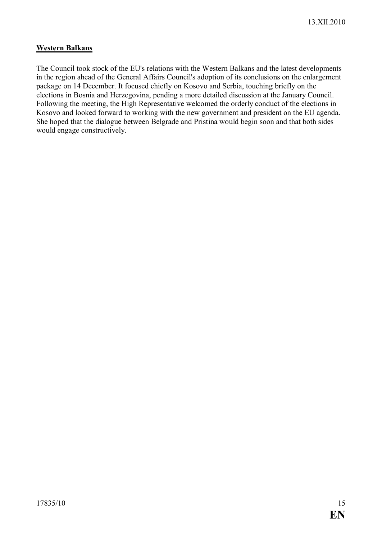# **Western Balkans**

The Council took stock of the EU's relations with the Western Balkans and the latest developments in the region ahead of the General Affairs Council's adoption of its conclusions on the enlargement package on 14 December. It focused chiefly on Kosovo and Serbia, touching briefly on the elections in Bosnia and Herzegovina, pending a more detailed discussion at the January Council. Following the meeting, the High Representative welcomed the orderly conduct of the elections in Kosovo and looked forward to working with the new government and president on the EU agenda. She hoped that the dialogue between Belgrade and Pristina would begin soon and that both sides would engage constructively.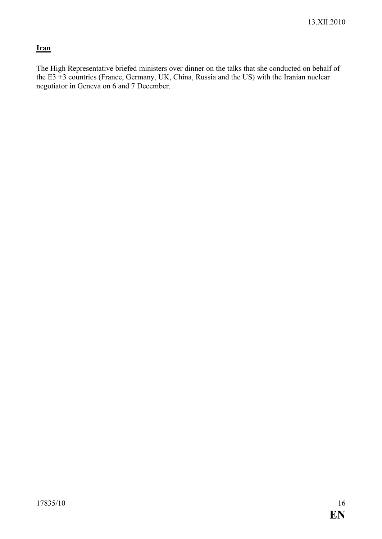# **Iran**

The High Representative briefed ministers over dinner on the talks that she conducted on behalf of the E3 +3 countries (France, Germany, UK, China, Russia and the US) with the Iranian nuclear negotiator in Geneva on 6 and 7 December.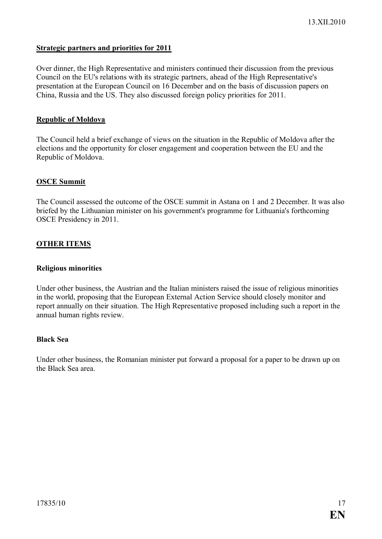## **Strategic partners and priorities for 2011**

Over dinner, the High Representative and ministers continued their discussion from the previous Council on the EU's relations with its strategic partners, ahead of the High Representative's presentation at the European Council on 16 December and on the basis of discussion papers on China, Russia and the US. They also discussed foreign policy priorities for 2011.

#### **Republic of Moldova**

The Council held a brief exchange of views on the situation in the Republic of Moldova after the elections and the opportunity for closer engagement and cooperation between the EU and the Republic of Moldova.

#### **OSCE Summit**

The Council assessed the outcome of the OSCE summit in Astana on 1 and 2 December. It was also briefed by the Lithuanian minister on his government's programme for Lithuania's forthcoming OSCE Presidency in 2011.

#### **OTHER ITEMS**

#### **Religious minorities**

Under other business, the Austrian and the Italian ministers raised the issue of religious minorities in the world, proposing that the European External Action Service should closely monitor and report annually on their situation. The High Representative proposed including such a report in the annual human rights review.

#### **Black Sea**

Under other business, the Romanian minister put forward a proposal for a paper to be drawn up on the Black Sea area.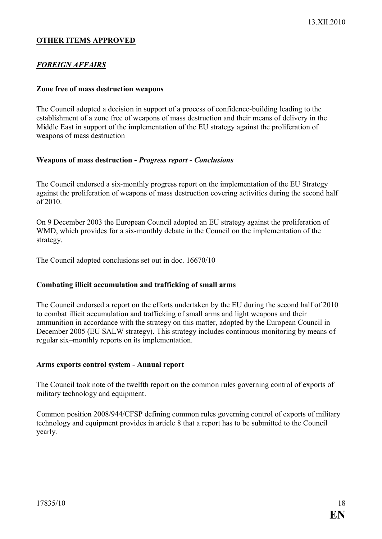# **OTHER ITEMS APPROVED**

# *FOREIGN AFFAIRS*

#### **Zone free of mass destruction weapons**

The Council adopted a decision in support of a process of confidence-building leading to the establishment of a zone free of weapons of mass destruction and their means of delivery in the Middle East in support of the implementation of the EU strategy against the proliferation of weapons of mass destruction

#### **Weapons of mass destruction -** *Progress report - Conclusions*

The Council endorsed a six-monthly progress report on the implementation of the EU Strategy against the proliferation of weapons of mass destruction covering activities during the second half of 2010.

On 9 December 2003 the European Council adopted an EU strategy against the proliferation of WMD, which provides for a six-monthly debate in the Council on the implementation of the strategy.

The Council adopted conclusions set out in doc. 16670/10

#### **Combating illicit accumulation and trafficking of small arms**

The Council endorsed a report on the efforts undertaken by the EU during the second half of 2010 to combat illicit accumulation and trafficking of small arms and light weapons and their ammunition in accordance with the strategy on this matter, adopted by the European Council in December 2005 (EU SALW strategy). This strategy includes continuous monitoring by means of regular six–monthly reports on its implementation.

#### **Arms exports control system - Annual report**

The Council took note of the twelfth report on the common rules governing control of exports of military technology and equipment.

Common position 2008/944/CFSP defining common rules governing control of exports of military technology and equipment provides in article 8 that a report has to be submitted to the Council yearly.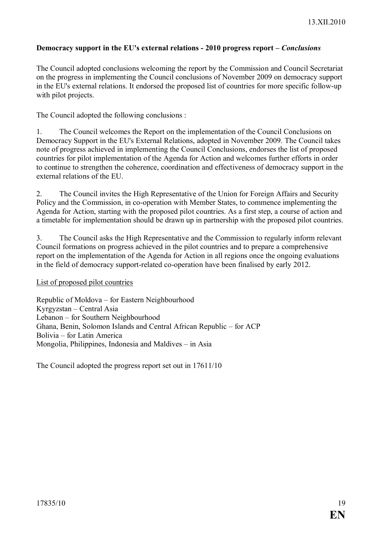## **Democracy support in the EU's external relations - 2010 progress report –** *Conclusions*

The Council adopted conclusions welcoming the report by the Commission and Council Secretariat on the progress in implementing the Council conclusions of November 2009 on democracy support in the EU's external relations. It endorsed the proposed list of countries for more specific follow-up with pilot projects.

The Council adopted the following conclusions :

1. The Council welcomes the Report on the implementation of the Council Conclusions on Democracy Support in the EU's External Relations, adopted in November 2009. The Council takes note of progress achieved in implementing the Council Conclusions, endorses the list of proposed countries for pilot implementation of the Agenda for Action and welcomes further efforts in order to continue to strengthen the coherence, coordination and effectiveness of democracy support in the external relations of the EU.

2. The Council invites the High Representative of the Union for Foreign Affairs and Security Policy and the Commission, in co-operation with Member States, to commence implementing the Agenda for Action, starting with the proposed pilot countries. As a first step, a course of action and a timetable for implementation should be drawn up in partnership with the proposed pilot countries.

3. The Council asks the High Representative and the Commission to regularly inform relevant Council formations on progress achieved in the pilot countries and to prepare a comprehensive report on the implementation of the Agenda for Action in all regions once the ongoing evaluations in the field of democracy support-related co-operation have been finalised by early 2012.

List of proposed pilot countries

Republic of Moldova – for Eastern Neighbourhood Kyrgyzstan – Central Asia Lebanon – for Southern Neighbourhood Ghana, Benin, Solomon Islands and Central African Republic – for ACP Bolivia – for Latin America Mongolia, Philippines, Indonesia and Maldives – in Asia

The Council adopted the progress report set out in 17611/10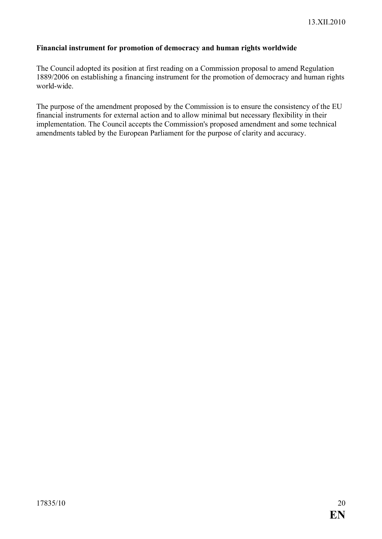# **Financial instrument for promotion of democracy and human rights worldwide**

The Council adopted its position at first reading on a Commission proposal to amend Regulation 1889/2006 on establishing a financing instrument for the promotion of democracy and human rights world-wide.

The purpose of the amendment proposed by the Commission is to ensure the consistency of the EU financial instruments for external action and to allow minimal but necessary flexibility in their implementation. The Council accepts the Commission's proposed amendment and some technical amendments tabled by the European Parliament for the purpose of clarity and accuracy.